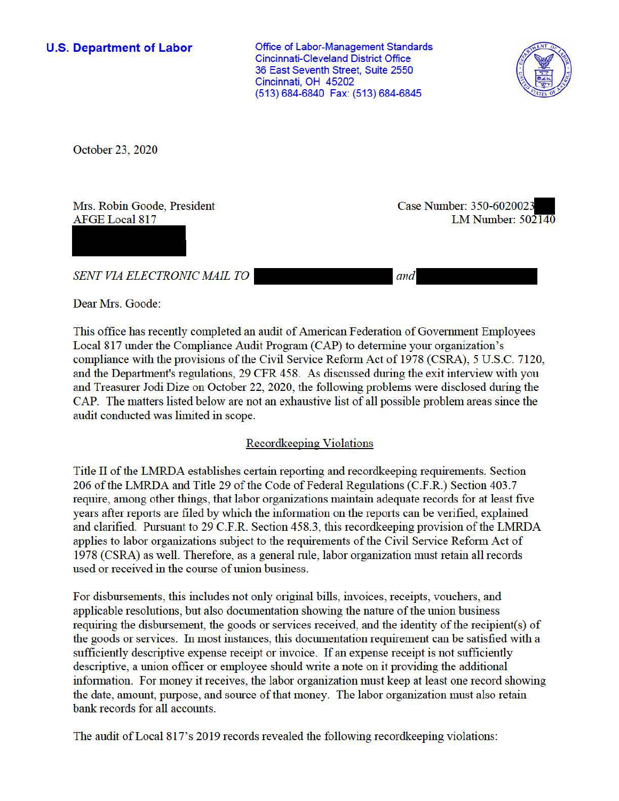**U.S. Department of Labor** 

Office of Labor-Management Standards Cincinnati-Cleveland District Office 36 East Seventh Street, Suite 2550 Cincinnati, OH 45202 (513) 684-6840 Fax: (513) 684-6845



October 23, 2020

Mrs. Robin Goode, President AFGE Local 817

Case Number: 350-602002. LM Number: 502140

*SENT VIA ELECTRONIC MAIL TO* 

*and* 

Dear Mrs. Goode:

This office has recently completed an audit of American Federation of Government Employees Local 817 under the Compliance Audit Program (CAP) to detennine your organization's compliance with the provisions of the Civil Service Reform Act of 1978 (CSRA), 5 U.S.C. 7120, and the Department's regulations, 29 CFR 458. As discussed during the exit interview with you and Treasurer Jodi Dize on October 22, 2020, the following problems were disclosed during the CAP. The matters listed below are not an exhaustive list of all possible problem areas since the audit conducted was limited in scope.

# Recordkeeping Violations

Title II of the LMRDA establishes certain reporting and record keeping requirements. Section 206 of the LMRDA and Title 29 of the Code of Federal Regulations (C.F.R.) Section 403.7 require, among other things, that labor organizations maintain adequate records for at least five years after reports are filed by which the information on the reports can be verified, explained and clarified. Pursuant to 29 C.F.R. Section 458.3, this recordkeeping provision of the LMRDA applies to labor organizations subject to the requirements of the Civil Service Reform Act of 1978 (CSRA) as well. Therefore, as a general rnle, labor organization must retain all records used or received in the course of union business.

For disbursements, this includes not only original bills, invoices, receipts, vouchers, and applicable resolutions, but also documentation showing the nature of the union business requiring the disbursement, the goods or services received, and the identity of the recipient(s) of the goods or services. In most instances, this documentation requirement can be satisfied with a sufficiently descriptive expense receipt or invoice. If an expense receipt is not sufficiently descriptive, a union officer or employee should write a note on it providing the additional information. For money it receives, the labor organization must keep at least one record showing the date, amount, purpose, and source of that money. The labor organization must also retain bank records for all accounts.

The audit of Local 817's 2019 records revealed the following recordkeeping violations: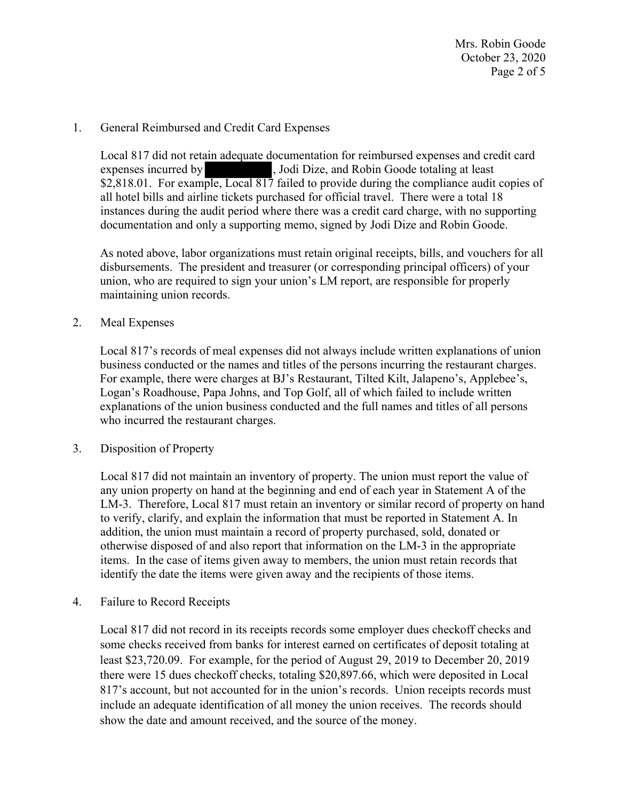Mrs. Robin Goode October 23, 2020 Page 2 of 5

# 1. General Reimbursed and Credit Card Expenses

Local 817 did not retain adequate documentation for reimbursed expenses and credit card expenses incurred by , Jodi Dize, and Robin Goode totaling at least [\\$2,818.01](https://2,818.01). For example, Local 817 failed to provide during the compliance audit copies of all hotel bills and airline tickets purchased for official travel. There were a total 18 instances during the audit period where there was a credit card charge, with no supporting documentation and only a supporting memo, signed by Jodi Dize and Robin Goode.

As noted above, labor organizations must retain original receipts, bills, and vouchers for all disbursements. The president and treasurer (or corresponding principal officers) of your union, who are required to sign your union's LM report, are responsible for properly maintaining union records.

## 2. Meal Expenses

Local 817's records of meal expenses did not always include written explanations of union business conducted or the names and titles of the persons incurring the restaurant charges. For example, there were charges at BJ's Restaurant, Tilted Kilt, Jalapeno's, Applebee's, Logan's Roadhouse, Papa Johns, and Top Golf, all of which failed to include written explanations of the union business conducted and the full names and titles of all persons who incurred the restaurant charges.

## 3. Disposition of Property

Local 817 did not maintain an inventory of property. The union must report the value of any union property on hand at the beginning and end of each year in Statement A of the LM-3. Therefore, Local 817 must retain an inventory or similar record of property on hand to verify, clarify, and explain the information that must be reported in Statement A. In addition, the union must maintain a record of property purchased, sold, donated or otherwise disposed of and also report that information on the LM-3 in the appropriate items. In the case of items given away to members, the union must retain records that identify the date the items were given away and the recipients of those items.

4. Failure to Record Receipts

Local 817 did not record in its receipts records some employer dues checkoff checks and some checks received from banks for interest earned on certificates of deposit totaling at least [\\$23,720.09.](https://23,720.09) For example, for the period of August 29, 2019 to December 20, 2019 there were 15 dues checkoff checks, totaling \$[20,897.66](https://20,897.66), which were deposited in Local 817's account, but not accounted for in the union's records. Union receipts records must include an adequate identification of all money the union receives. The records should show the date and amount received, and the source of the money.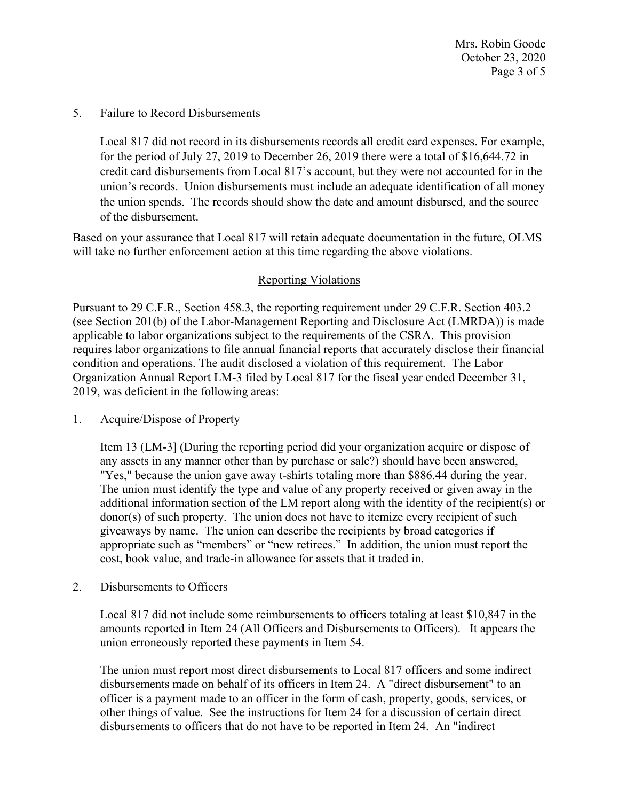Mrs. Robin Goode October 23, 2020 Page 3 of 5

#### 5. Failure to Record Disbursements

Local 817 did not record in its disbursements records all credit card expenses. For example, for the period of July 27, 2019 to December 26, 2019 there were a total of \$[16,644.72](https://16,644.72) in credit card disbursements from Local 817's account, but they were not accounted for in the union's records. Union disbursements must include an adequate identification of all money the union spends. The records should show the date and amount disbursed, and the source of the disbursement.

Based on your assurance that Local 817 will retain adequate documentation in the future, OLMS will take no further enforcement action at this time regarding the above violations.

# Reporting Violations

Pursuant to 29 C.F.R., Section 458.3, the reporting requirement under 29 C.F.R. Section 403.2 (see Section 201(b) of the Labor-Management Reporting and Disclosure Act (LMRDA)) is made applicable to labor organizations subject to the requirements of the CSRA. This provision requires labor organizations to file annual financial reports that accurately disclose their financial condition and operations. The audit disclosed a violation of this requirement. The Labor Organization Annual Report LM-3 filed by Local 817 for the fiscal year ended December 31, 2019, was deficient in the following areas:

## 1. Acquire/Dispose of Property

Item 13 (LM-3] (During the reporting period did your organization acquire or dispose of any assets in any manner other than by purchase or sale?) should have been answered, "Yes," because the union gave away t-shirts totaling more than \$886.44 during the year. The union must identify the type and value of any property received or given away in the additional information section of the LM report along with the identity of the recipient(s) or donor(s) of such property. The union does not have to itemize every recipient of such giveaways by name. The union can describe the recipients by broad categories if appropriate such as "members" or "new retirees." In addition, the union must report the cost, book value, and trade-in allowance for assets that it traded in.

## 2. Disbursements to Officers

Local 817 did not include some reimbursements to officers totaling at least \$10,847 in the amounts reported in Item 24 (All Officers and Disbursements to Officers). It appears the union erroneously reported these payments in Item 54.

The union must report most direct disbursements to Local 817 officers and some indirect disbursements made on behalf of its officers in Item 24. A "direct disbursement" to an officer is a payment made to an officer in the form of cash, property, goods, services, or other things of value. See the instructions for Item 24 for a discussion of certain direct disbursements to officers that do not have to be reported in Item 24. An "indirect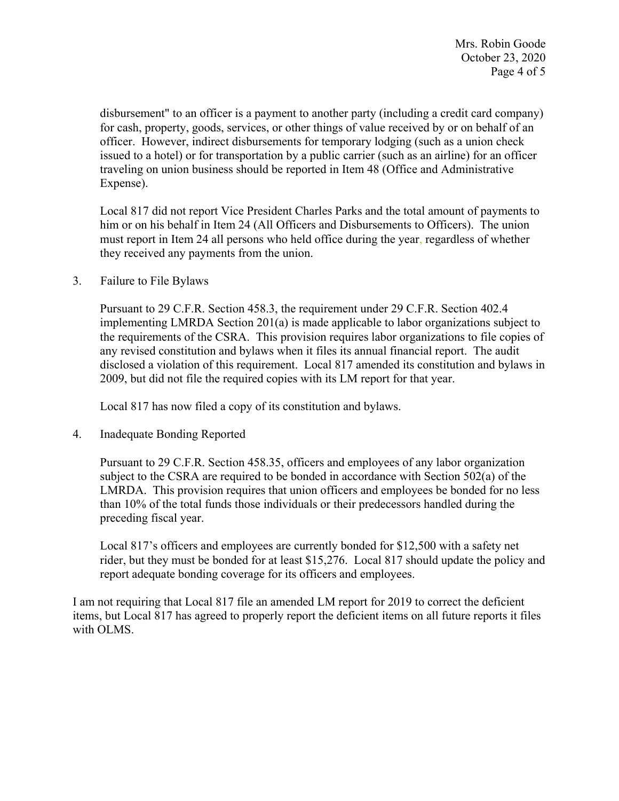Mrs. Robin Goode October 23, 2020 Page 4 of 5

disbursement" to an officer is a payment to another party (including a credit card company) for cash, property, goods, services, or other things of value received by or on behalf of an officer. However, indirect disbursements for temporary lodging (such as a union check issued to a hotel) or for transportation by a public carrier (such as an airline) for an officer traveling on union business should be reported in Item 48 (Office and Administrative Expense).

Local 817 did not report Vice President Charles Parks and the total amount of payments to him or on his behalf in Item 24 (All Officers and Disbursements to Officers). The union must report in Item 24 all persons who held office during the year, regardless of whether they received any payments from the union.

3. Failure to File Bylaws

Pursuant to 29 C.F.R. Section 458.3, the requirement under 29 C.F.R. Section 402.4 implementing LMRDA Section 201(a) is made applicable to labor organizations subject to the requirements of the CSRA. This provision requires labor organizations to file copies of any revised constitution and bylaws when it files its annual financial report. The audit disclosed a violation of this requirement. Local 817 amended its constitution and bylaws in 2009, but did not file the required copies with its LM report for that year.

Local 817 has now filed a copy of its constitution and bylaws.

4. Inadequate Bonding Reported

Pursuant to 29 C.F.R. Section 458.35, officers and employees of any labor organization subject to the CSRA are required to be bonded in accordance with Section 502(a) of the LMRDA. This provision requires that union officers and employees be bonded for no less than 10% of the total funds those individuals or their predecessors handled during the preceding fiscal year.

Local 817's officers and employees are currently bonded for \$12,500 with a safety net rider, but they must be bonded for at least \$15,276. Local 817 should update the policy and report adequate bonding coverage for its officers and employees.

I am not requiring that Local 817 file an amended LM report for 2019 to correct the deficient items, but Local 817 has agreed to properly report the deficient items on all future reports it files with OLMS.